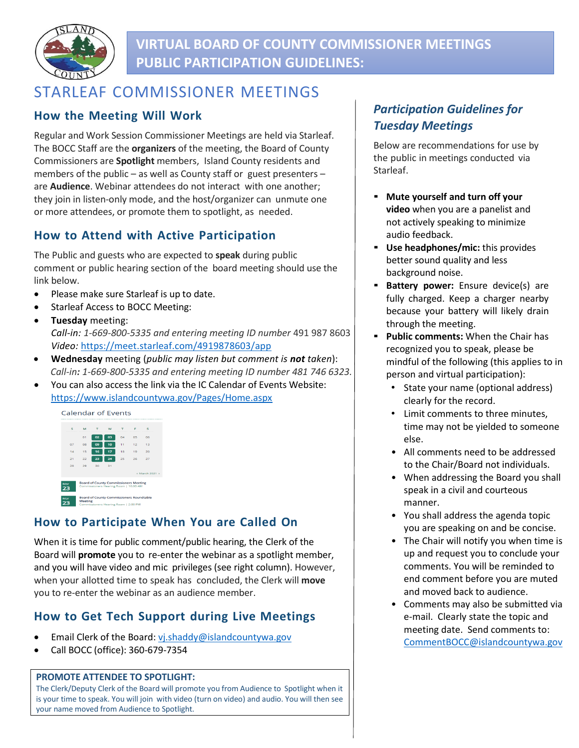

# **VIRTUAL BOARD OF COUNTY COMMISSIONER MEETINGS PUBLIC PARTICIPATION GUIDELINES:**

# STARLEAF COMMISSIONER MEETINGS

### **How the Meeting Will Work**

Regular and Work Session Commissioner Meetings are held via Starleaf. The BOCC Staff are the **organizers** of the meeting, the Board of County Commissioners are **Spotlight** members, Island County residents and members of the public – as well as County staff or guest presenters – are **Audience**. Webinar attendees do not interact with one another; they join in listen-only mode, and the host/organizer can unmute one or more attendees, or promote them to spotlight, as needed.

### **How to Attend with Active Participation**

The Public and guests who are expected to **speak** during public comment or public hearing section of the board meeting should use the link below.

- Please make sure Starleaf is up to date.
- Starleaf Access to BOCC Meeting:
- **Tuesday** meeting: *Call-in: 1-669-800-5335 and entering meeting ID number* 491 987 8603 *Video:* <https://meet.starleaf.com/4919878603/app>
- **Wednesday** meeting (*public may listen but comment is not taken*): *Call-in: 1-669-800-5335 and entering meeting ID number 481 746 6323.*
- You can also access the link via the IC Calendar of Events Website: <https://www.islandcountywa.gov/Pages/Home.aspx>



## **How to Participate When You are Called On**

When it is time for public comment/public hearing, the Clerk of the Board will **promote** you to re-enter the webinar as a spotlight member, and you will have video and mic privileges (see right column). However, when your allotted time to speak has concluded, the Clerk will **move** you to re-enter the webinar as an audience member.

## **How to Get Tech Support during Live Meetings**

- Email Clerk of the Board: [vj.shaddy@islandcountywa.gov](mailto:vj.shaddy@islandcountywa.gov)
- Call BOCC (office): 360-679-7354

#### **PROMOTE ATTENDEE TO SPOTLIGHT:**

The Clerk/Deputy Clerk of the Board will promote you from Audience to Spotlight when it is your time to speak. You will join with video (turn on video) and audio. You will then see your name moved from Audience to Spotlight.

## *Participation Guidelines for Tuesday Meetings*

Below are recommendations for use by the public in meetings conducted via Starleaf.

- **Mute yourself and turn off your video** when you are a panelist and not actively speaking to minimize audio feedback.
- **Use headphones/mic:** this provides better sound quality and less background noise.
- **Battery power:** Ensure device(s) are fully charged. Keep a charger nearby because your battery will likely drain through the meeting.
- **Public comments:** When the Chair has recognized you to speak, please be mindful of the following (this applies to in person and virtual participation):
	- State your name (optional address) clearly for the record.
	- Limit comments to three minutes, time may not be yielded to someone else.
	- All comments need to be addressed to the Chair/Board not individuals.
	- When addressing the Board you shall speak in a civil and courteous manner.
	- You shall address the agenda topic you are speaking on and be concise.
	- The Chair will notify you when time is up and request you to conclude your comments. You will be reminded to end comment before you are muted and moved back to audience.
	- Comments may also be submitted via e-mail. Clearly state the topic and meeting date. Send comments to: [CommentBOCC@islandcountywa.gov](mailto:CommentBOCC@islandcountywa.gov)